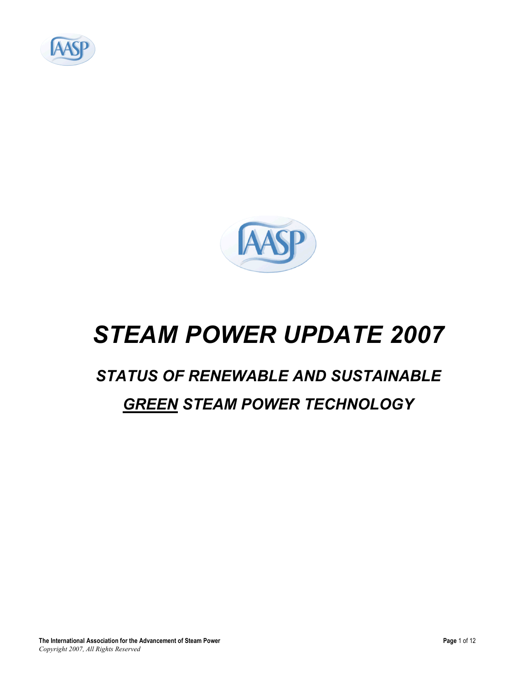



# *STEAM POWER UPDATE 2007*

## *STATUS OF RENEWABLE AND SUSTAINABLE*

#### *GREEN STEAM POWER TECHNOLOGY*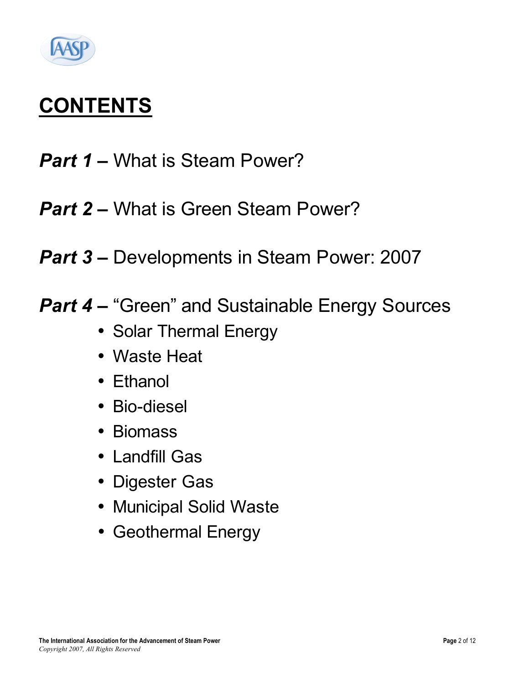

# **CONTENTS**

- *Part 1 –* What is Steam Power?
- *Part* 2 What is Green Steam Power?
- *Part 3 –* Developments in Steam Power: 2007
- *Part 4 –* "Green" and Sustainable Energy Sources
	- Solar Thermal Energy
	- Waste Heat
	- Ethanol
	- Bio-diesel
	- Biomass
	- Landfill Gas
	- Digester Gas
	- Municipal Solid Waste
	- Geothermal Energy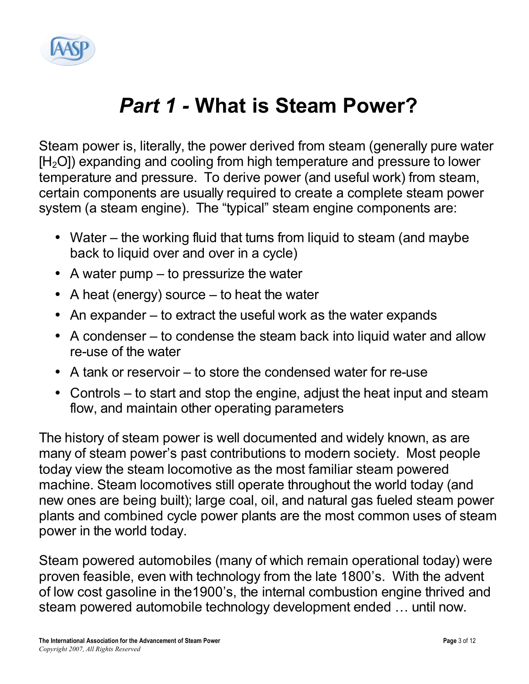

# *Part 1 -* **What is Steam Power?**

Steam power is, literally, the power derived from steam (generally pure water  $[H<sub>2</sub>O]$ ) expanding and cooling from high temperature and pressure to lower temperature and pressure. To derive power (and useful work) from steam, certain components are usually required to create a complete steam power system (a steam engine). The "typical" steam engine components are:

- Water the working fluid that turns from liquid to steam (and maybe back to liquid over and over in a cycle)
- A water pump to pressurize the water
- A heat (energy) source to heat the water
- An expander to extract the useful work as the water expands
- A condenser to condense the steam back into liquid water and allow re-use of the water
- A tank or reservoir to store the condensed water for re-use
- Controls to start and stop the engine, adjust the heat input and steam flow, and maintain other operating parameters

The history of steam power is well documented and widely known, as are many of steam power's past contributions to modern society. Most people today view the steam locomotive as the most familiar steam powered machine. Steam locomotives still operate throughout the world today (and new ones are being built); large coal, oil, and natural gas fueled steam power plants and combined cycle power plants are the most common uses of steam power in the world today.

Steam powered automobiles (many of which remain operational today) were proven feasible, even with technology from the late 1800's. With the advent of low cost gasoline in the1900's, the internal combustion engine thrived and steam powered automobile technology development ended … until now.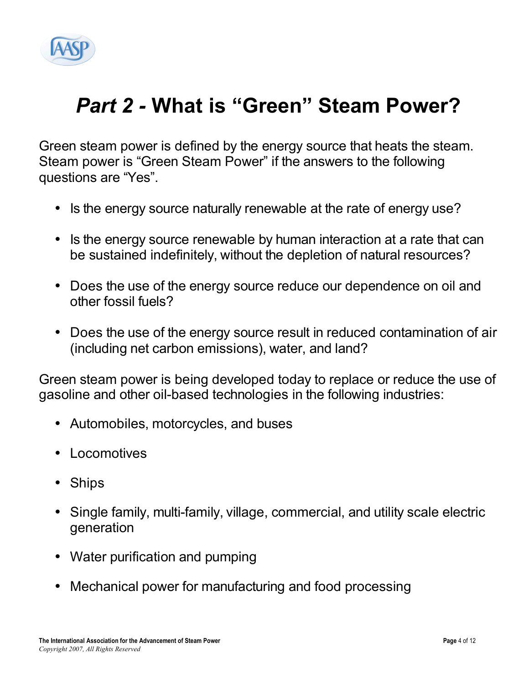

# *Part 2 -* **What is "Green" Steam Power?**

Green steam power is defined by the energy source that heats the steam. Steam power is "Green Steam Power" if the answers to the following questions are "Yes".

- Is the energy source naturally renewable at the rate of energy use?
- Is the energy source renewable by human interaction at a rate that can be sustained indefinitely, without the depletion of natural resources?
- Does the use of the energy source reduce our dependence on oil and other fossil fuels?
- Does the use of the energy source result in reduced contamination of air (including net carbon emissions), water, and land?

Green steam power is being developed today to replace or reduce the use of gasoline and other oil-based technologies in the following industries:

- Automobiles, motorcycles, and buses
- Locomotives
- Ships
- Single family, multi-family, village, commercial, and utility scale electric generation
- Water purification and pumping
- Mechanical power for manufacturing and food processing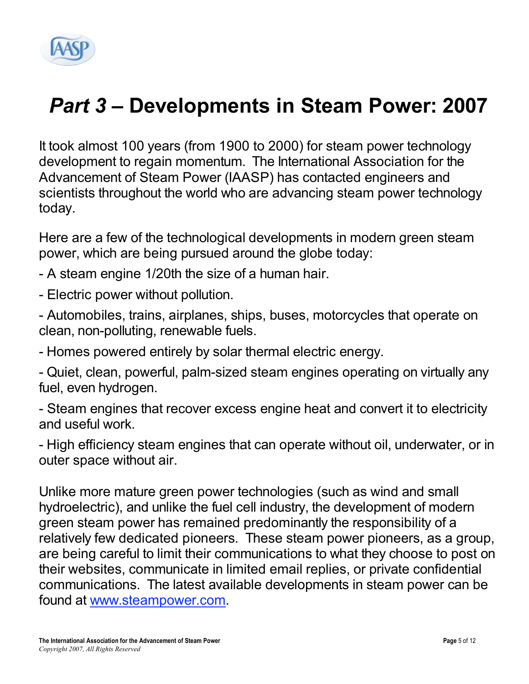

# *Part 3 –* **Developments in Steam Power: 2007**

It took almost 100 years (from 1900 to 2000) for steam power technology development to regain momentum. The International Association for the Advancement of Steam Power (IAASP) has contacted engineers and scientists throughout the world who are advancing steam power technology today.

Here are a few of the technological developments in modern green steam power, which are being pursued around the globe today:

- A steam engine 1/20th the size of a human hair.
- Electric power without pollution.
- Automobiles, trains, airplanes, ships, buses, motorcycles that operate on clean, non-polluting, renewable fuels.
- Homes powered entirely by solar thermal electric energy.

- Quiet, clean, powerful, palm-sized steam engines operating on virtually any fuel, even hydrogen.

- Steam engines that recover excess engine heat and convert it to electricity and useful work.

- High efficiency steam engines that can operate without oil, underwater, or in outer space without air.

Unlike more mature green power technologies (such as wind and small hydroelectric), and unlike the fuel cell industry, the development of modern green steam power has remained predominantly the responsibility of a relatively few dedicated pioneers. These steam power pioneers, as a group, are being careful to limit their communications to what they choose to post on their websites, communicate in limited email replies, or private confidential communications. The latest available developments in steam power can be found at www.steampower.com.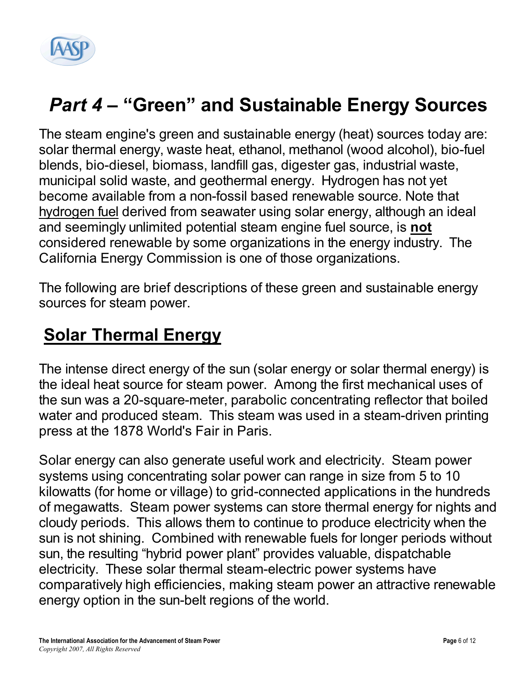

## *Part 4 –* **"Green" and Sustainable Energy Sources**

The steam engine's green and sustainable energy (heat) sources today are: solar thermal energy, waste heat, ethanol, methanol (wood alcohol), bio-fuel blends, bio-diesel, biomass, landfill gas, digester gas, industrial waste, municipal solid waste, and geothermal energy. Hydrogen has not yet become available from a non-fossil based renewable source. Note that hydrogen fuel derived from seawater using solar energy, although an ideal and seemingly unlimited potential steam engine fuel source, is **not** considered renewable by some organizations in the energy industry. The California Energy Commission is one of those organizations.

The following are brief descriptions of these green and sustainable energy sources for steam power.

#### **Solar Thermal Energy**

The intense direct energy of the sun (solar energy or solar thermal energy) is the ideal heat source for steam power. Among the first mechanical uses of the sun was a 20-square-meter, parabolic concentrating reflector that boiled water and produced steam. This steam was used in a steam-driven printing press at the 1878 World's Fair in Paris.

Solar energy can also generate useful work and electricity. Steam power systems using concentrating solar power can range in size from 5 to 10 kilowatts (for home or village) to grid-connected applications in the hundreds of megawatts. Steam power systems can store thermal energy for nights and cloudy periods. This allows them to continue to produce electricity when the sun is not shining. Combined with renewable fuels for longer periods without sun, the resulting "hybrid power plant" provides valuable, dispatchable electricity. These solar thermal steam-electric power systems have comparatively high efficiencies, making steam power an attractive renewable energy option in the sun-belt regions of the world.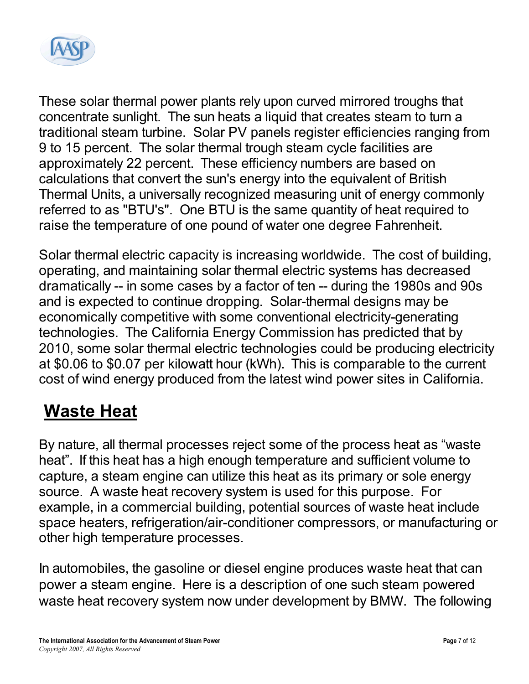

These solar thermal power plants rely upon curved mirrored troughs that concentrate sunlight. The sun heats a liquid that creates steam to turn a traditional steam turbine. Solar PV panels register efficiencies ranging from 9 to 15 percent. The solar thermal trough steam cycle facilities are approximately 22 percent. These efficiency numbers are based on calculations that convert the sun's energy into the equivalent of British Thermal Units, a universally recognized measuring unit of energy commonly referred to as "BTU's". One BTU is the same quantity of heat required to raise the temperature of one pound of water one degree Fahrenheit.

Solar thermal electric capacity is increasing worldwide. The cost of building, operating, and maintaining solar thermal electric systems has decreased dramatically -- in some cases by a factor of ten -- during the 1980s and 90s and is expected to continue dropping. Solar-thermal designs may be economically competitive with some conventional electricity-generating technologies. The California Energy Commission has predicted that by 2010, some solar thermal electric technologies could be producing electricity at \$0.06 to \$0.07 per kilowatt hour (kWh). This is comparable to the current cost of wind energy produced from the latest wind power sites in California.

### **Waste Heat**

By nature, all thermal processes reject some of the process heat as "waste heat". If this heat has a high enough temperature and sufficient volume to capture, a steam engine can utilize this heat as its primary or sole energy source. A waste heat recovery system is used for this purpose. For example, in a commercial building, potential sources of waste heat include space heaters, refrigeration/air-conditioner compressors, or manufacturing or other high temperature processes.

In automobiles, the gasoline or diesel engine produces waste heat that can power a steam engine. Here is a description of one such steam powered waste heat recovery system now under development by BMW. The following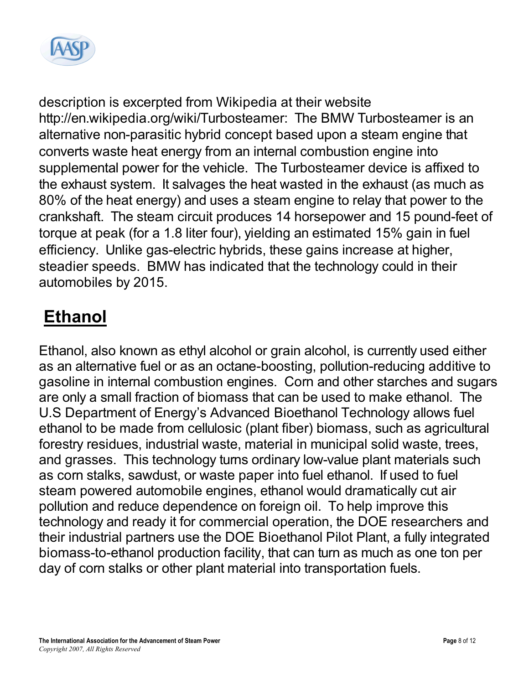

description is excerpted from Wikipedia at their website http://en.wikipedia.org/wiki/Turbosteamer: The BMW Turbosteamer is an alternative non-parasitic hybrid concept based upon a steam engine that converts waste heat energy from an internal combustion engine into supplemental power for the vehicle. The Turbosteamer device is affixed to the exhaust system. It salvages the heat wasted in the exhaust (as much as 80% of the heat energy) and uses a steam engine to relay that power to the crankshaft. The steam circuit produces 14 horsepower and 15 pound-feet of torque at peak (for a 1.8 liter four), yielding an estimated 15% gain in fuel efficiency. Unlike gas-electric hybrids, these gains increase at higher, steadier speeds. BMW has indicated that the technology could in their automobiles by 2015.

## **Ethanol**

Ethanol, also known as ethyl alcohol or grain alcohol, is currently used either as an alternative fuel or as an octane-boosting, pollution-reducing additive to gasoline in internal combustion engines. Corn and other starches and sugars are only a small fraction of biomass that can be used to make ethanol. The U.S Department of Energy's Advanced Bioethanol Technology allows fuel ethanol to be made from cellulosic (plant fiber) biomass, such as agricultural forestry residues, industrial waste, material in municipal solid waste, trees, and grasses. This technology turns ordinary low-value plant materials such as corn stalks, sawdust, or waste paper into fuel ethanol. If used to fuel steam powered automobile engines, ethanol would dramatically cut air pollution and reduce dependence on foreign oil. To help improve this technology and ready it for commercial operation, the DOE researchers and their industrial partners use the DOE Bioethanol Pilot Plant, a fully integrated biomass-to-ethanol production facility, that can turn as much as one ton per day of corn stalks or other plant material into transportation fuels.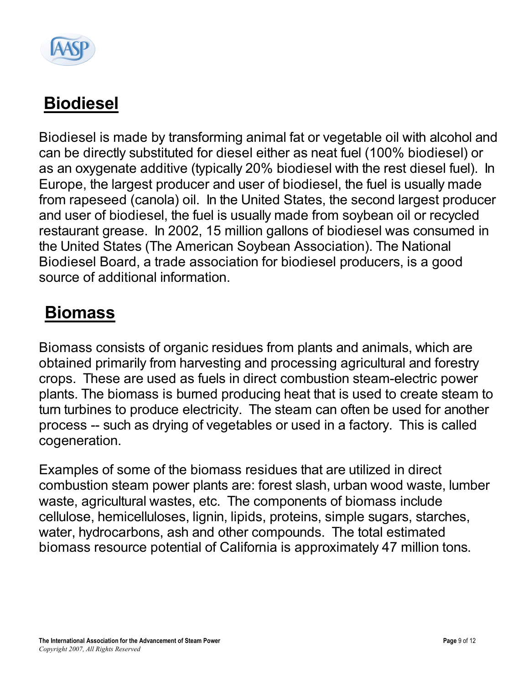

## **Biodiesel**

Biodiesel is made by transforming animal fat or vegetable oil with alcohol and can be directly substituted for diesel either as neat fuel (100% biodiesel) or as an oxygenate additive (typically 20% biodiesel with the rest diesel fuel). In Europe, the largest producer and user of biodiesel, the fuel is usually made from rapeseed (canola) oil. In the United States, the second largest producer and user of biodiesel, the fuel is usually made from soybean oil or recycled restaurant grease. In 2002, 15 million gallons of biodiesel was consumed in the United States (The American Soybean Association). The National Biodiesel Board, a trade association for biodiesel producers, is a good source of additional information.

#### **Biomass**

Biomass consists of organic residues from plants and animals, which are obtained primarily from harvesting and processing agricultural and forestry crops. These are used as fuels in direct combustion steam-electric power plants. The biomass is burned producing heat that is used to create steam to turn turbines to produce electricity. The steam can often be used for another process -- such as drying of vegetables or used in a factory. This is called cogeneration.

Examples of some of the biomass residues that are utilized in direct combustion steam power plants are: forest slash, urban wood waste, lumber waste, agricultural wastes, etc. The components of biomass include cellulose, hemicelluloses, lignin, lipids, proteins, simple sugars, starches, water, hydrocarbons, ash and other compounds. The total estimated biomass resource potential of California is approximately 47 million tons.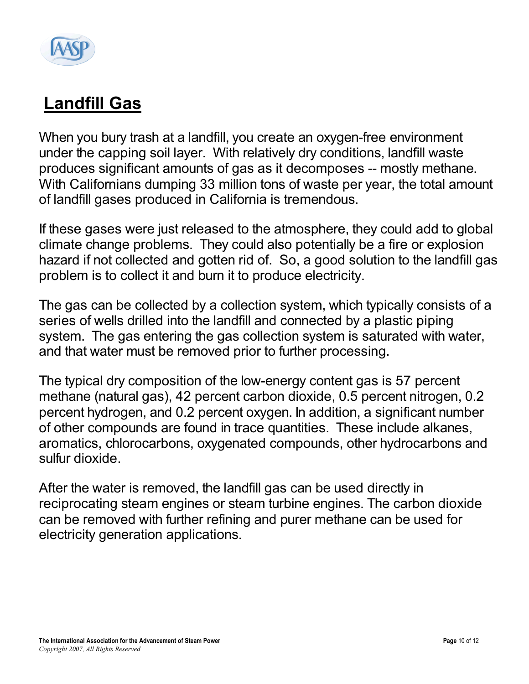

## **Landfill Gas**

When you bury trash at a landfill, you create an oxygen-free environment under the capping soil layer. With relatively dry conditions, landfill waste produces significant amounts of gas as it decomposes -- mostly methane. With Californians dumping 33 million tons of waste per year, the total amount of landfill gases produced in California is tremendous.

If these gases were just released to the atmosphere, they could add to global climate change problems. They could also potentially be a fire or explosion hazard if not collected and gotten rid of. So, a good solution to the landfill gas problem is to collect it and burn it to produce electricity.

The gas can be collected by a collection system, which typically consists of a series of wells drilled into the landfill and connected by a plastic piping system. The gas entering the gas collection system is saturated with water, and that water must be removed prior to further processing.

The typical dry composition of the low-energy content gas is 57 percent methane (natural gas), 42 percent carbon dioxide, 0.5 percent nitrogen, 0.2 percent hydrogen, and 0.2 percent oxygen. In addition, a significant number of other compounds are found in trace quantities. These include alkanes, aromatics, chlorocarbons, oxygenated compounds, other hydrocarbons and sulfur dioxide.

After the water is removed, the landfill gas can be used directly in reciprocating steam engines or steam turbine engines. The carbon dioxide can be removed with further refining and purer methane can be used for electricity generation applications.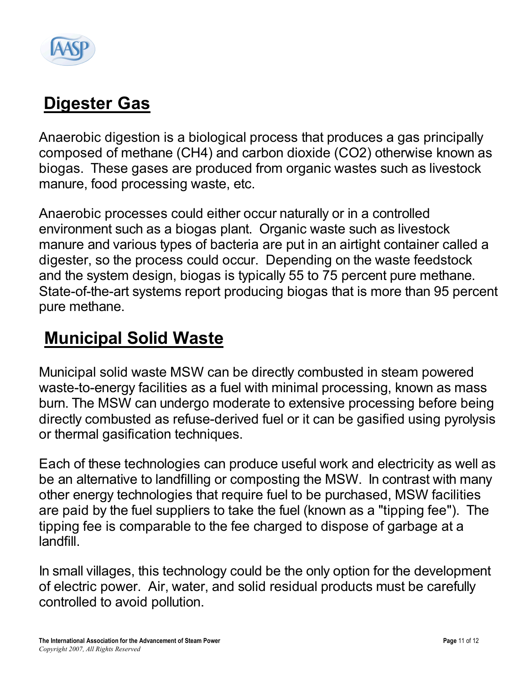

### **Digester Gas**

Anaerobic digestion is a biological process that produces a gas principally composed of methane (CH4) and carbon dioxide (CO2) otherwise known as biogas. These gases are produced from organic wastes such as livestock manure, food processing waste, etc.

Anaerobic processes could either occur naturally or in a controlled environment such as a biogas plant. Organic waste such as livestock manure and various types of bacteria are put in an airtight container called a digester, so the process could occur. Depending on the waste feedstock and the system design, biogas is typically 55 to 75 percent pure methane. State-of-the-art systems report producing biogas that is more than 95 percent pure methane.

#### **Municipal Solid Waste**

Municipal solid waste MSW can be directly combusted in steam powered waste-to-energy facilities as a fuel with minimal processing, known as mass burn. The MSW can undergo moderate to extensive processing before being directly combusted as refuse-derived fuel or it can be gasified using pyrolysis or thermal gasification techniques.

Each of these technologies can produce useful work and electricity as well as be an alternative to landfilling or composting the MSW. In contrast with many other energy technologies that require fuel to be purchased, MSW facilities are paid by the fuel suppliers to take the fuel (known as a "tipping fee"). The tipping fee is comparable to the fee charged to dispose of garbage at a landfill.

In small villages, this technology could be the only option for the development of electric power. Air, water, and solid residual products must be carefully controlled to avoid pollution.